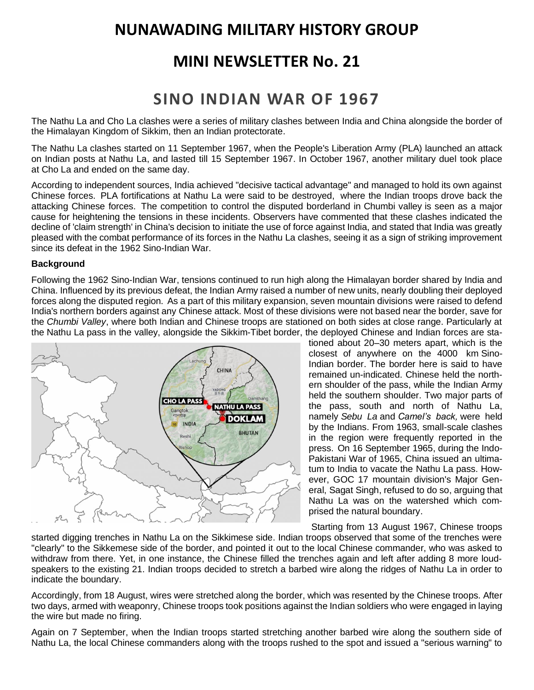# **NUNAWADING MILITARY HISTORY GROUP**

# **MINI NEWSLETTER No. 21**

# **SINO INDIAN WAR OF 1967**

The Nathu La and Cho La clashes were a series of [military clashes](https://en.wikipedia.org/wiki/War) between [India](https://en.wikipedia.org/wiki/India) and [China](https://en.wikipedia.org/wiki/China) alongside the border of the Himalayan [Kingdom of Sikkim,](https://en.wikipedia.org/wiki/Kingdom_of_Sikkim) then an Indian [protectorate.](https://en.wikipedia.org/wiki/Protectorate)

The Nathu La clashes started on 11 September 1967, when the [People's Liberation Army](https://en.wikipedia.org/wiki/People%27s_Liberation_Army) (PLA) launched an attack on Indian posts at [Nathu La,](https://en.wikipedia.org/wiki/Nathu_La) and lasted till 15 September 1967. In October 1967, another military duel took place at [Cho La](https://en.wikipedia.org/wiki/Cho_La,_Sikkim) and ended on the same day.

According to independent sources, India achieved "decisive tactical advantage" and managed to hold its own against Chinese forces. PLA fortifications at Nathu La were said to be destroyed, where the Indian troops drove back the attacking Chinese forces. The competition to control the disputed borderland in [Chumbi valley](https://en.wikipedia.org/wiki/Chumbi_Valley) is seen as a major cause for heightening the tensions in these incidents. Observers have commented that these clashes indicated the decline of 'claim strength' in China's decision to initiate the use of force against India, and stated that India was greatly pleased with the combat performance of its forces in the Nathu La clashes, seeing it as a sign of striking improvement since its defeat in the [1962 Sino-Indian War.](https://en.wikipedia.org/wiki/Sino-Indian_War)

# **Background**

Following the 1962 [Sino-Indian War,](https://en.wikipedia.org/wiki/Sino-Indian_War) tensions continued to run high along the Himalayan border shared by India and China. Influenced by its previous defeat, the Indian Army raised a number of new units, nearly doubling their deployed forces along the disputed region. As a part of this military expansion, seven mountain divisions were raised to defend India's northern borders against any Chinese attack. Most of these divisions were not based near the border, save for the *[Chumbi Valley](https://en.wikipedia.org/wiki/Chumbi_Valley)*, where both Indian and Chinese troops are stationed on both sides at close range. Particularly at the [Nathu La](https://en.wikipedia.org/wiki/Nathu_La) pass in the valley, alongside the [Sikkim](https://en.wikipedia.org/wiki/Sikkim)[-Tibet](https://en.wikipedia.org/wiki/Tibet) border, the deployed Chinese and Indian forces are sta-



tioned about 20–30 meters apart, which is the closest of anywhere on the 4000 km [Sino-](https://en.wikipedia.org/wiki/Line_of_Actual_Control)[Indian border.](https://en.wikipedia.org/wiki/Line_of_Actual_Control) The border here is said to have remained un-indicated. Chinese held the northern shoulder of the pass, while the Indian Army held the southern shoulder. Two major parts of the pass, south and north of Nathu La, namely *Sebu La* and *Camel's back,* were held by the Indians. From 1963, small-scale clashes in the region were frequently reported in the press. On 16 September 1965, during the [Indo-](https://en.wikipedia.org/wiki/Indo-Pakistani_War_of_1965)[Pakistani War of 1965,](https://en.wikipedia.org/wiki/Indo-Pakistani_War_of_1965) China issued an ultimatum to India to vacate the Nathu La pass. However, GOC 17 mountain division's Major General, [Sagat Singh,](https://en.wikipedia.org/wiki/Sagat_Singh) refused to do so, arguing that Nathu La was on the watershed which comprised the natural boundary.

Starting from 13 August 1967, Chinese troops

started digging trenches in Nathu La on the Sikkimese side. Indian troops observed that some of the trenches were "clearly" to the Sikkemese side of the border, and pointed it out to the local Chinese commander, who was asked to withdraw from there. Yet, in one instance, the Chinese filled the trenches again and left after adding 8 more loudspeakers to the existing 21. Indian troops decided to stretch a [barbed wire](https://en.wikipedia.org/wiki/Barbed_wire) along the ridges of Nathu La in order to indicate the boundary.

Accordingly, from 18 August, wires were stretched along the border, which was resented by the Chinese troops. After two days, armed with weaponry, Chinese troops took positions against the Indian soldiers who were engaged in laying the wire but made no firing.

Again on 7 September, when the Indian troops started stretching another barbed wire along the southern side of Nathu La, the local Chinese commanders along with the troops rushed to the spot and issued a "serious warning" to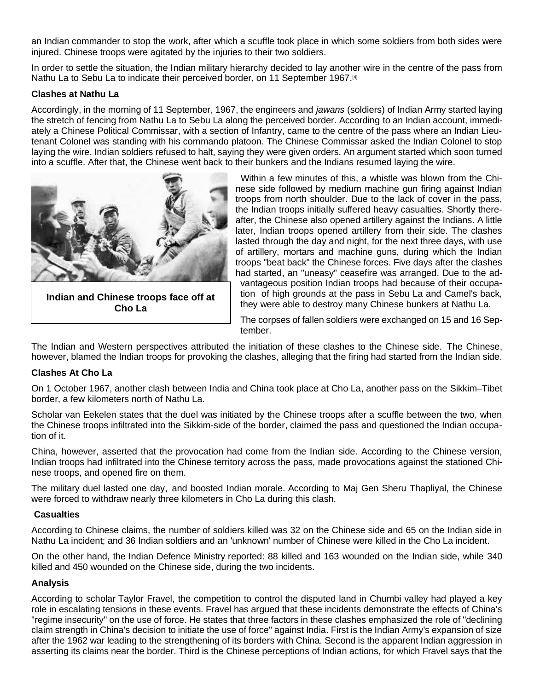an Indian commander to stop the work, after which a scuffle took place in which some soldiers from both sides were injured. Chinese troops were agitated by the injuries to their two soldiers.

In order to settle the situation, the Indian military hierarchy decided to lay another wire in the centre of the pass from Nathu La to Sebu La to indicate their perceived border, on 11 September 1967.<sup>[\[4\]](https://en.wikipedia.org/wiki/Nathu_La_and_Cho_La_clashes#cite_note-Thapliyal-4)</sup>

### **Clashes at Nathu La**

Accordingly, in the morning of 11 September, 1967, the engineers and *jawans* (soldiers) of Indian Army started laying the stretch of fencing from Nathu La to Sebu La along the perceived border. According to an Indian account, immediately a Chinese Political [Commissar,](https://en.wikipedia.org/wiki/Commissar) with a section of Infantry, came to the centre of the pass where an Indian Lieutenant Colonel was standing with his commando platoon. The Chinese Commissar asked the Indian Colonel to stop laying the wire. Indian soldiers refused to halt, saying they were given orders. An argument started which soon turned into a scuffle. After that, the Chinese went back to their bunkers and the Indians resumed laying the wire.



**Indian and Chinese troops face off at Cho La**

Within a few minutes of this, a whistle was blown from the Chinese side followed by medium machine gun firing against Indian troops from north shoulder. Due to the lack of cover in the pass, the Indian troops initially suffered heavy casualties. Shortly thereafter, the Chinese also opened artillery against the Indians. A little later, Indian troops opened artillery from their side. The clashes lasted through the day and night, for the next three days, with use of artillery, mortars and machine guns, during which the Indian troops "beat back" the Chinese forces. Five days after the clashes had started, an "uneasy" ceasefire was arranged. Due to the advantageous position Indian troops had because of their occupation of high grounds at the pass in Sebu La and Camel's back, they were able to destroy many Chinese bunkers at Nathu La.

The corpses of fallen soldiers were exchanged on 15 and 16 September.

The Indian and Western perspectives attributed the initiation of these clashes to the Chinese side. The Chinese, however, blamed the Indian troops for provoking the clashes, alleging that the firing had started from the Indian side.

#### **Clashes At Cho La**

On 1 October 1967, another clash between India and China took place at [Cho La,](https://en.wikipedia.org/wiki/Cho_La,_Sikkim) another pass on the Sikkim–Tibet border, a few kilometers north of Nathu La.

Scholar van Eekelen states that the duel was initiated by the Chinese troops after a scuffle between the two, when the Chinese troops infiltrated into the Sikkim-side of the border, claimed the pass and questioned the Indian occupation of it.

China, however, asserted that the provocation had come from the Indian side. According to the Chinese version, Indian troops had infiltrated into the Chinese territory across the pass, made provocations against the stationed Chinese troops, and opened fire on them.

The military duel lasted one day, and boosted Indian morale. According to Maj Gen Sheru Thapliyal, the Chinese were forced to withdraw nearly three kilometers in Cho La during this clash.

#### **Casualties**

According to Chinese claims, the number of soldiers killed was 32 on the Chinese side and 65 on the Indian side in Nathu La incident; and 36 Indian soldiers and an 'unknown' number of Chinese were killed in the Cho La incident.

On the other hand, the [Indian Defence Ministry](https://en.wikipedia.org/wiki/Ministry_of_Defence_(India)) reported: 88 killed and 163 wounded on the Indian side, while 340 killed and 450 wounded on the Chinese side, during the two incidents.

# **Analysis**

According to scholar [Taylor Fravel,](https://en.wikipedia.org/wiki/Taylor_Fravel) the competition to control the disputed land in Chumbi valley had played a key role in escalating tensions in these events. Fravel has argued that these incidents demonstrate the effects of China's "regime insecurity" on the use of force. He states that three factors in these clashes emphasized the role of "declining claim strength in China's decision to initiate the use of force" against India. First is the Indian Army's expansion of size after the 1962 war leading to the strengthening of its borders with China. Second is the apparent Indian aggression in asserting its claims near the border. Third is the Chinese perceptions of Indian actions, for which Fravel says that the